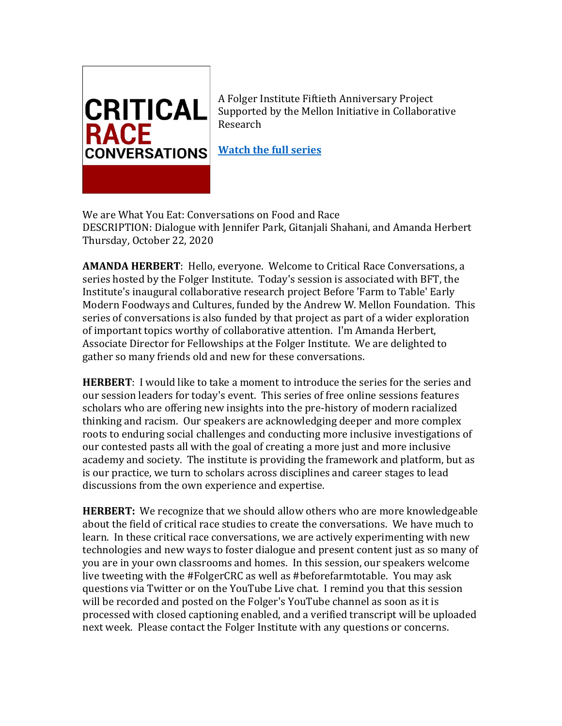

A Folger Institute Fiftieth Anniversary Project Supported by the Mellon Initiative in Collaborative Research

**[Watch the full series](https://youtube.com/playlist?list=PLR8P-dSNaJkXDYEqDI_AX-AKs7J2nPiqc)** 

We are What You Eat: Conversations on Food and Race DESCRIPTION: Dialogue with Jennifer Park, Gitanjali Shahani, and Amanda Herbert Thursday, October 22, 2020

**AMANDA HERBERT**: Hello, everyone. Welcome to Critical Race Conversations, a series hosted by the Folger Institute. Today's session is associated with BFT, the Institute's inaugural collaborative research project Before 'Farm to Table' Early Modern Foodways and Cultures, funded by the Andrew W. Mellon Foundation. This series of conversations is also funded by that project as part of a wider exploration of important topics worthy of collaborative attention. I'm Amanda Herbert, Associate Director for Fellowships at the Folger Institute. We are delighted to gather so many friends old and new for these conversations.

**HERBERT**: I would like to take a moment to introduce the series for the series and our session leaders for today's event. This series of free online sessions features scholars who are offering new insights into the pre-history of modern racialized thinking and racism. Our speakers are acknowledging deeper and more complex roots to enduring social challenges and conducting more inclusive investigations of our contested pasts all with the goal of creating a more just and more inclusive academy and society. The institute is providing the framework and platform, but as is our practice, we turn to scholars across disciplines and career stages to lead discussions from the own experience and expertise.

**HERBERT:** We recognize that we should allow others who are more knowledgeable about the field of critical race studies to create the conversations. We have much to learn. In these critical race conversations, we are actively experimenting with new technologies and new ways to foster dialogue and present content just as so many of you are in your own classrooms and homes. In this session, our speakers welcome live tweeting with the #FolgerCRC as well as #beforefarmtotable. You may ask questions via Twitter or on the YouTube Live chat. I remind you that this session will be recorded and posted on the Folger's YouTube channel as soon as it is processed with closed captioning enabled, and a verified transcript will be uploaded next week. Please contact the Folger Institute with any questions or concerns.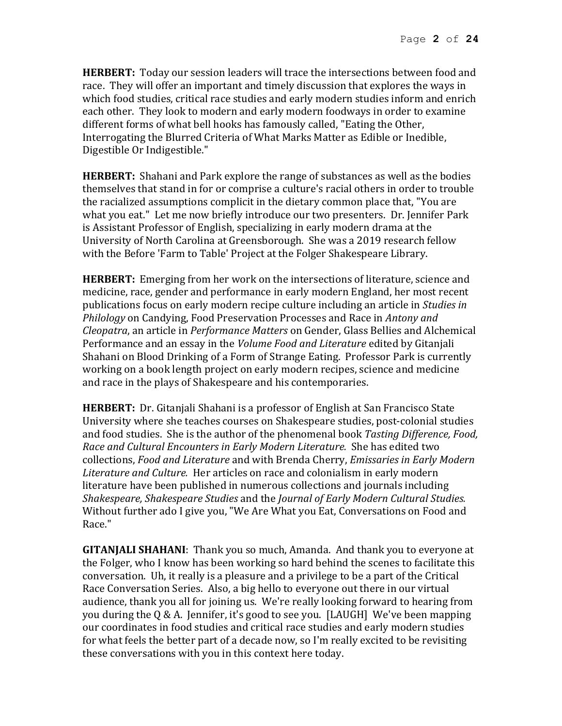**HERBERT:** Today our session leaders will trace the intersections between food and race. They will offer an important and timely discussion that explores the ways in which food studies, critical race studies and early modern studies inform and enrich each other. They look to modern and early modern foodways in order to examine different forms of what bell hooks has famously called, "Eating the Other, Interrogating the Blurred Criteria of What Marks Matter as Edible or Inedible, Digestible Or Indigestible."

**HERBERT:** Shahani and Park explore the range of substances as well as the bodies themselves that stand in for or comprise a culture's racial others in order to trouble the racialized assumptions complicit in the dietary common place that, "You are what you eat." Let me now briefly introduce our two presenters. Dr. Jennifer Park is Assistant Professor of English, specializing in early modern drama at the University of North Carolina at Greensborough. She was a 2019 research fellow with the Before 'Farm to Table' Project at the Folger Shakespeare Library.

**HERBERT:** Emerging from her work on the intersections of literature, science and medicine, race, gender and performance in early modern England, her most recent publications focus on early modern recipe culture including an article in *Studies in Philology* on Candying, Food Preservation Processes and Race in *Antony and Cleopatra*, an article in *Performance Matters* on Gender, Glass Bellies and Alchemical Performance and an essay in the *Volume Food and Literature* edited by Gitanjali Shahani on Blood Drinking of a Form of Strange Eating. Professor Park is currently working on a book length project on early modern recipes, science and medicine and race in the plays of Shakespeare and his contemporaries.

**HERBERT:** Dr. Gitanjali Shahani is a professor of English at San Francisco State University where she teaches courses on Shakespeare studies, post-colonial studies and food studies. She is the author of the phenomenal book *Tasting Difference, Food, Race and Cultural Encounters in Early Modern Literature.* She has edited two collections, *Food and Literature* and with Brenda Cherry, *Emissaries in Early Modern Literature and Culture.* Her articles on race and colonialism in early modern literature have been published in numerous collections and journals including *Shakespeare, Shakespeare Studies* and the *Journal of Early Modern Cultural Studies.* Without further ado I give you, "We Are What you Eat, Conversations on Food and Race."

**GITANJALI SHAHANI**: Thank you so much, Amanda. And thank you to everyone at the Folger, who I know has been working so hard behind the scenes to facilitate this conversation. Uh, it really is a pleasure and a privilege to be a part of the Critical Race Conversation Series. Also, a big hello to everyone out there in our virtual audience, thank you all for joining us. We're really looking forward to hearing from you during the Q & A. Jennifer, it's good to see you. [LAUGH] We've been mapping our coordinates in food studies and critical race studies and early modern studies for what feels the better part of a decade now, so I'm really excited to be revisiting these conversations with you in this context here today.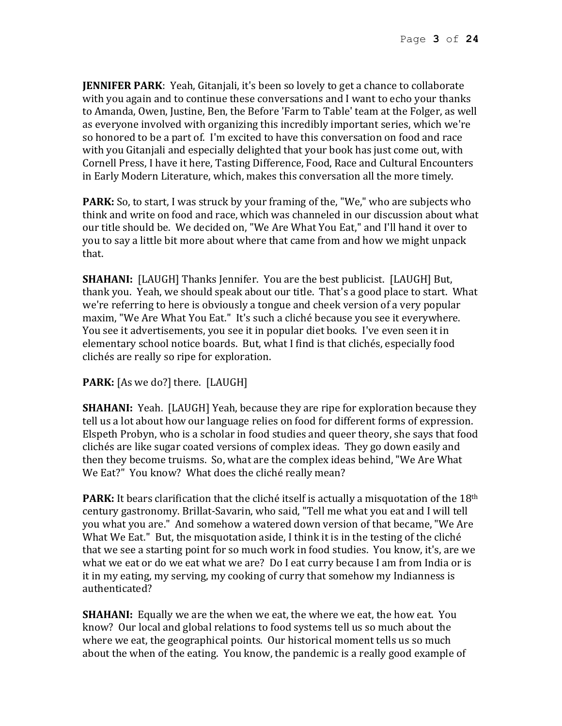**JENNIFER PARK**: Yeah, Gitanjali, it's been so lovely to get a chance to collaborate with you again and to continue these conversations and I want to echo your thanks to Amanda, Owen, Justine, Ben, the Before 'Farm to Table' team at the Folger, as well as everyone involved with organizing this incredibly important series, which we're so honored to be a part of. I'm excited to have this conversation on food and race with you Gitanjali and especially delighted that your book has just come out, with Cornell Press, I have it here, Tasting Difference, Food, Race and Cultural Encounters in Early Modern Literature, which, makes this conversation all the more timely.

**PARK:** So, to start, I was struck by your framing of the, "We," who are subjects who think and write on food and race, which was channeled in our discussion about what our title should be. We decided on, "We Are What You Eat," and I'll hand it over to you to say a little bit more about where that came from and how we might unpack that.

**SHAHANI:** [LAUGH] Thanks Jennifer. You are the best publicist. [LAUGH] But, thank you. Yeah, we should speak about our title. That's a good place to start. What we're referring to here is obviously a tongue and cheek version of a very popular maxim, "We Are What You Eat." It's such a cliché because you see it everywhere. You see it advertisements, you see it in popular diet books. I've even seen it in elementary school notice boards. But, what I find is that clichés, especially food clichés are really so ripe for exploration.

PARK: [As we do?] there. [LAUGH]

**SHAHANI:** Yeah. [LAUGH] Yeah, because they are ripe for exploration because they tell us a lot about how our language relies on food for different forms of expression. Elspeth Probyn, who is a scholar in food studies and queer theory, she says that food clichés are like sugar coated versions of complex ideas. They go down easily and then they become truisms. So, what are the complex ideas behind, "We Are What We Eat?" You know? What does the cliché really mean?

**PARK:** It bears clarification that the cliché itself is actually a misquotation of the 18th century gastronomy. Brillat-Savarin, who said, "Tell me what you eat and I will tell you what you are." And somehow a watered down version of that became, "We Are What We Eat." But, the misquotation aside, I think it is in the testing of the cliché that we see a starting point for so much work in food studies. You know, it's, are we what we eat or do we eat what we are? Do I eat curry because I am from India or is it in my eating, my serving, my cooking of curry that somehow my Indianness is authenticated?

**SHAHANI:** Equally we are the when we eat, the where we eat, the how eat. You know? Our local and global relations to food systems tell us so much about the where we eat, the geographical points. Our historical moment tells us so much about the when of the eating. You know, the pandemic is a really good example of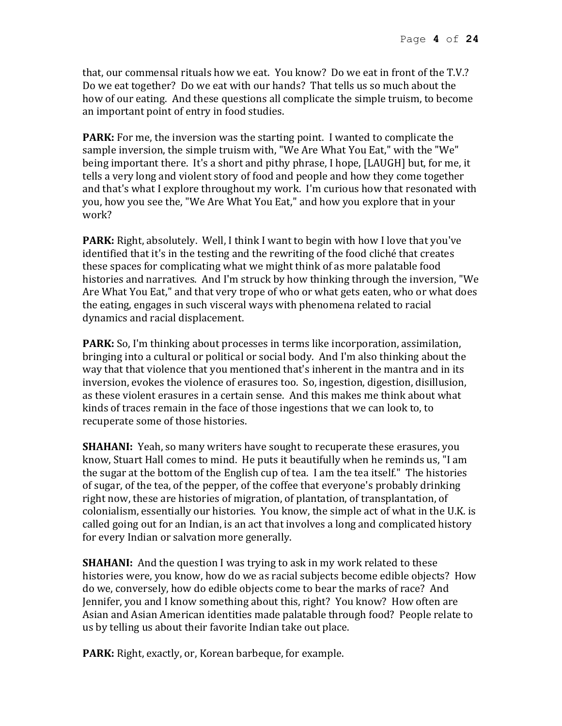that, our commensal rituals how we eat. You know? Do we eat in front of the T.V.? Do we eat together? Do we eat with our hands? That tells us so much about the how of our eating. And these questions all complicate the simple truism, to become an important point of entry in food studies.

**PARK:** For me, the inversion was the starting point. I wanted to complicate the sample inversion, the simple truism with, "We Are What You Eat," with the "We" being important there. It's a short and pithy phrase, I hope, [LAUGH] but, for me, it tells a very long and violent story of food and people and how they come together and that's what I explore throughout my work. I'm curious how that resonated with you, how you see the, "We Are What You Eat," and how you explore that in your work?

**PARK:** Right, absolutely. Well, I think I want to begin with how I love that you've identified that it's in the testing and the rewriting of the food cliché that creates these spaces for complicating what we might think of as more palatable food histories and narratives. And I'm struck by how thinking through the inversion, "We Are What You Eat," and that very trope of who or what gets eaten, who or what does the eating, engages in such visceral ways with phenomena related to racial dynamics and racial displacement.

**PARK:** So, I'm thinking about processes in terms like incorporation, assimilation, bringing into a cultural or political or social body. And I'm also thinking about the way that that violence that you mentioned that's inherent in the mantra and in its inversion, evokes the violence of erasures too. So, ingestion, digestion, disillusion, as these violent erasures in a certain sense. And this makes me think about what kinds of traces remain in the face of those ingestions that we can look to, to recuperate some of those histories.

**SHAHANI:** Yeah, so many writers have sought to recuperate these erasures, you know, Stuart Hall comes to mind. He puts it beautifully when he reminds us, "I am the sugar at the bottom of the English cup of tea. I am the tea itself." The histories of sugar, of the tea, of the pepper, of the coffee that everyone's probably drinking right now, these are histories of migration, of plantation, of transplantation, of colonialism, essentially our histories. You know, the simple act of what in the U.K. is called going out for an Indian, is an act that involves a long and complicated history for every Indian or salvation more generally.

**SHAHANI:** And the question I was trying to ask in my work related to these histories were, you know, how do we as racial subjects become edible objects? How do we, conversely, how do edible objects come to bear the marks of race? And Jennifer, you and I know something about this, right? You know? How often are Asian and Asian American identities made palatable through food? People relate to us by telling us about their favorite Indian take out place.

**PARK:** Right, exactly, or, Korean barbeque, for example.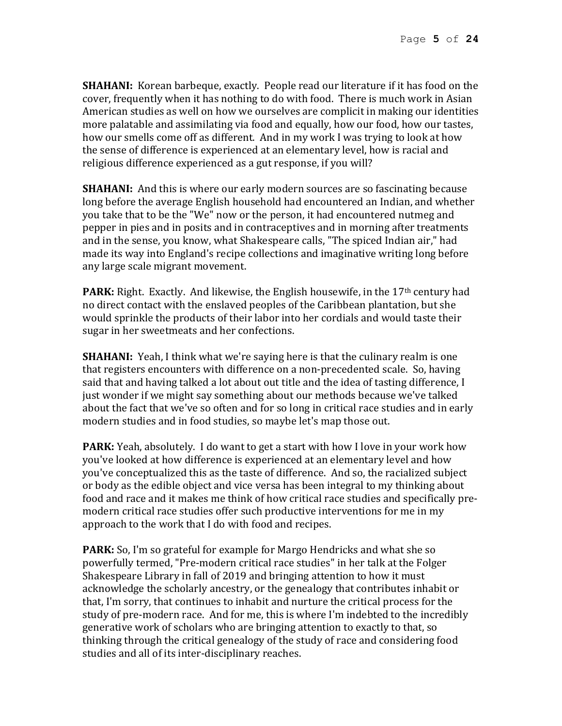**SHAHANI:** Korean barbeque, exactly. People read our literature if it has food on the cover, frequently when it has nothing to do with food. There is much work in Asian American studies as well on how we ourselves are complicit in making our identities more palatable and assimilating via food and equally, how our food, how our tastes, how our smells come off as different. And in my work I was trying to look at how the sense of difference is experienced at an elementary level, how is racial and religious difference experienced as a gut response, if you will?

**SHAHANI:** And this is where our early modern sources are so fascinating because long before the average English household had encountered an Indian, and whether you take that to be the "We" now or the person, it had encountered nutmeg and pepper in pies and in posits and in contraceptives and in morning after treatments and in the sense, you know, what Shakespeare calls, "The spiced Indian air," had made its way into England's recipe collections and imaginative writing long before any large scale migrant movement.

**PARK:** Right. Exactly. And likewise, the English housewife, in the 17<sup>th</sup> century had no direct contact with the enslaved peoples of the Caribbean plantation, but she would sprinkle the products of their labor into her cordials and would taste their sugar in her sweetmeats and her confections.

**SHAHANI:** Yeah, I think what we're saying here is that the culinary realm is one that registers encounters with difference on a non-precedented scale. So, having said that and having talked a lot about out title and the idea of tasting difference, I just wonder if we might say something about our methods because we've talked about the fact that we've so often and for so long in critical race studies and in early modern studies and in food studies, so maybe let's map those out.

**PARK:** Yeah, absolutely. I do want to get a start with how I love in your work how you've looked at how difference is experienced at an elementary level and how you've conceptualized this as the taste of difference. And so, the racialized subject or body as the edible object and vice versa has been integral to my thinking about food and race and it makes me think of how critical race studies and specifically premodern critical race studies offer such productive interventions for me in my approach to the work that I do with food and recipes.

**PARK:** So, I'm so grateful for example for Margo Hendricks and what she so powerfully termed, "Pre-modern critical race studies" in her talk at the Folger Shakespeare Library in fall of 2019 and bringing attention to how it must acknowledge the scholarly ancestry, or the genealogy that contributes inhabit or that, I'm sorry, that continues to inhabit and nurture the critical process for the study of pre-modern race. And for me, this is where I'm indebted to the incredibly generative work of scholars who are bringing attention to exactly to that, so thinking through the critical genealogy of the study of race and considering food studies and all of its inter-disciplinary reaches.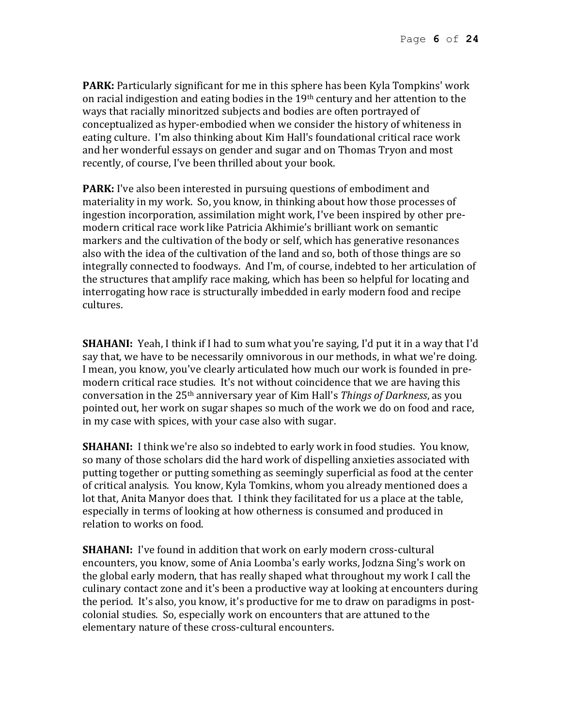**PARK:** Particularly significant for me in this sphere has been Kyla Tompkins' work on racial indigestion and eating bodies in the 19th century and her attention to the ways that racially minoritzed subjects and bodies are often portrayed of conceptualized as hyper-embodied when we consider the history of whiteness in eating culture. I'm also thinking about Kim Hall's foundational critical race work and her wonderful essays on gender and sugar and on Thomas Tryon and most recently, of course, I've been thrilled about your book.

**PARK:** I've also been interested in pursuing questions of embodiment and materiality in my work. So, you know, in thinking about how those processes of ingestion incorporation, assimilation might work, I've been inspired by other premodern critical race work like Patricia Akhimie's brilliant work on semantic markers and the cultivation of the body or self, which has generative resonances also with the idea of the cultivation of the land and so, both of those things are so integrally connected to foodways. And I'm, of course, indebted to her articulation of the structures that amplify race making, which has been so helpful for locating and interrogating how race is structurally imbedded in early modern food and recipe cultures.

**SHAHANI:** Yeah, I think if I had to sum what you're saying, I'd put it in a way that I'd say that, we have to be necessarily omnivorous in our methods, in what we're doing. I mean, you know, you've clearly articulated how much our work is founded in premodern critical race studies. It's not without coincidence that we are having this conversation in the 25th anniversary year of Kim Hall's *Things of Darkness*, as you pointed out, her work on sugar shapes so much of the work we do on food and race, in my case with spices, with your case also with sugar.

**SHAHANI:** I think we're also so indebted to early work in food studies. You know, so many of those scholars did the hard work of dispelling anxieties associated with putting together or putting something as seemingly superficial as food at the center of critical analysis. You know, Kyla Tomkins, whom you already mentioned does a lot that, Anita Manyor does that. I think they facilitated for us a place at the table, especially in terms of looking at how otherness is consumed and produced in relation to works on food.

**SHAHANI:** I've found in addition that work on early modern cross-cultural encounters, you know, some of Ania Loomba's early works, Jodzna Sing's work on the global early modern, that has really shaped what throughout my work I call the culinary contact zone and it's been a productive way at looking at encounters during the period. It's also, you know, it's productive for me to draw on paradigms in postcolonial studies. So, especially work on encounters that are attuned to the elementary nature of these cross-cultural encounters.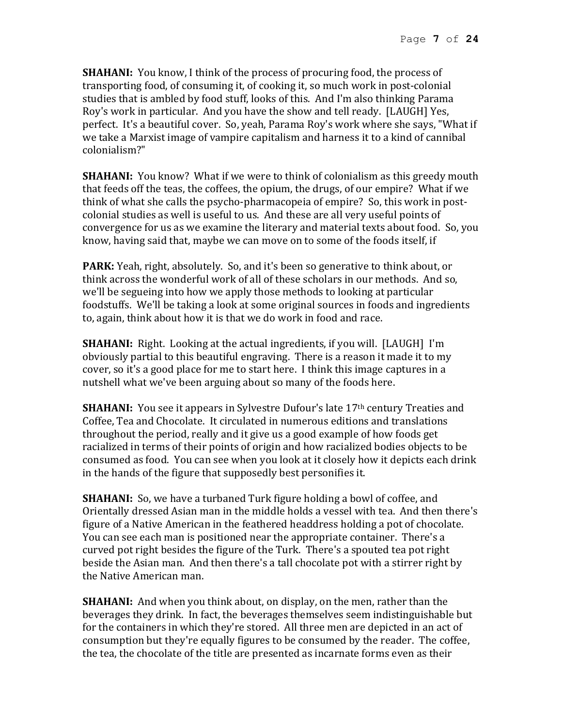**SHAHANI:** You know, I think of the process of procuring food, the process of transporting food, of consuming it, of cooking it, so much work in post-colonial studies that is ambled by food stuff, looks of this. And I'm also thinking Parama Roy's work in particular. And you have the show and tell ready. [LAUGH] Yes, perfect. It's a beautiful cover. So, yeah, Parama Roy's work where she says, "What if we take a Marxist image of vampire capitalism and harness it to a kind of cannibal colonialism?"

**SHAHANI:** You know? What if we were to think of colonialism as this greedy mouth that feeds off the teas, the coffees, the opium, the drugs, of our empire? What if we think of what she calls the psycho-pharmacopeia of empire? So, this work in postcolonial studies as well is useful to us. And these are all very useful points of convergence for us as we examine the literary and material texts about food. So, you know, having said that, maybe we can move on to some of the foods itself, if

**PARK:** Yeah, right, absolutely. So, and it's been so generative to think about, or think across the wonderful work of all of these scholars in our methods. And so, we'll be segueing into how we apply those methods to looking at particular foodstuffs. We'll be taking a look at some original sources in foods and ingredients to, again, think about how it is that we do work in food and race.

**SHAHANI:** Right. Looking at the actual ingredients, if you will. [LAUGH] I'm obviously partial to this beautiful engraving. There is a reason it made it to my cover, so it's a good place for me to start here. I think this image captures in a nutshell what we've been arguing about so many of the foods here.

**SHAHANI:** You see it appears in Sylvestre Dufour's late 17<sup>th</sup> century Treaties and Coffee, Tea and Chocolate. It circulated in numerous editions and translations throughout the period, really and it give us a good example of how foods get racialized in terms of their points of origin and how racialized bodies objects to be consumed as food. You can see when you look at it closely how it depicts each drink in the hands of the figure that supposedly best personifies it.

**SHAHANI:** So, we have a turbaned Turk figure holding a bowl of coffee, and Orientally dressed Asian man in the middle holds a vessel with tea. And then there's figure of a Native American in the feathered headdress holding a pot of chocolate. You can see each man is positioned near the appropriate container. There's a curved pot right besides the figure of the Turk. There's a spouted tea pot right beside the Asian man. And then there's a tall chocolate pot with a stirrer right by the Native American man.

**SHAHANI:** And when you think about, on display, on the men, rather than the beverages they drink. In fact, the beverages themselves seem indistinguishable but for the containers in which they're stored. All three men are depicted in an act of consumption but they're equally figures to be consumed by the reader. The coffee, the tea, the chocolate of the title are presented as incarnate forms even as their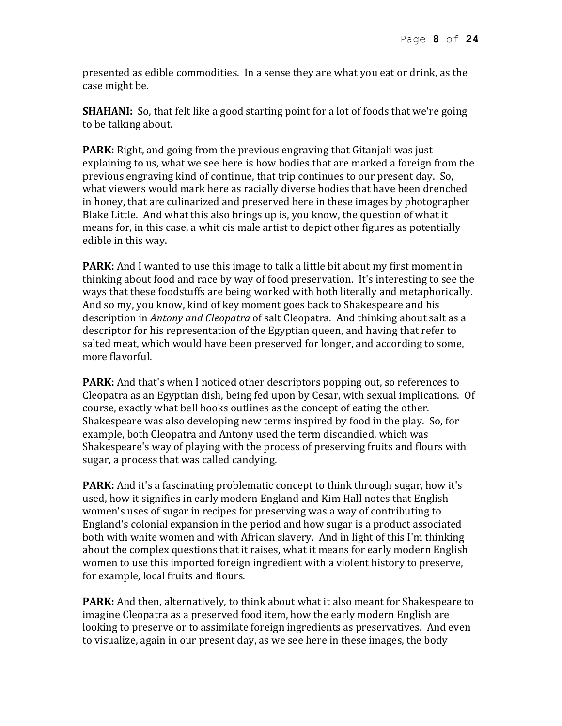presented as edible commodities. In a sense they are what you eat or drink, as the case might be.

**SHAHANI:** So, that felt like a good starting point for a lot of foods that we're going to be talking about.

**PARK:** Right, and going from the previous engraving that Gitanjali was just explaining to us, what we see here is how bodies that are marked a foreign from the previous engraving kind of continue, that trip continues to our present day. So, what viewers would mark here as racially diverse bodies that have been drenched in honey, that are culinarized and preserved here in these images by photographer Blake Little. And what this also brings up is, you know, the question of what it means for, in this case, a whit cis male artist to depict other figures as potentially edible in this way.

**PARK:** And I wanted to use this image to talk a little bit about my first moment in thinking about food and race by way of food preservation. It's interesting to see the ways that these foodstuffs are being worked with both literally and metaphorically. And so my, you know, kind of key moment goes back to Shakespeare and his description in *Antony and Cleopatra* of salt Cleopatra. And thinking about salt as a descriptor for his representation of the Egyptian queen, and having that refer to salted meat, which would have been preserved for longer, and according to some, more flavorful.

**PARK:** And that's when I noticed other descriptors popping out, so references to Cleopatra as an Egyptian dish, being fed upon by Cesar, with sexual implications. Of course, exactly what bell hooks outlines as the concept of eating the other. Shakespeare was also developing new terms inspired by food in the play. So, for example, both Cleopatra and Antony used the term discandied, which was Shakespeare's way of playing with the process of preserving fruits and flours with sugar, a process that was called candying.

**PARK:** And it's a fascinating problematic concept to think through sugar, how it's used, how it signifies in early modern England and Kim Hall notes that English women's uses of sugar in recipes for preserving was a way of contributing to England's colonial expansion in the period and how sugar is a product associated both with white women and with African slavery. And in light of this I'm thinking about the complex questions that it raises, what it means for early modern English women to use this imported foreign ingredient with a violent history to preserve, for example, local fruits and flours.

**PARK:** And then, alternatively, to think about what it also meant for Shakespeare to imagine Cleopatra as a preserved food item, how the early modern English are looking to preserve or to assimilate foreign ingredients as preservatives. And even to visualize, again in our present day, as we see here in these images, the body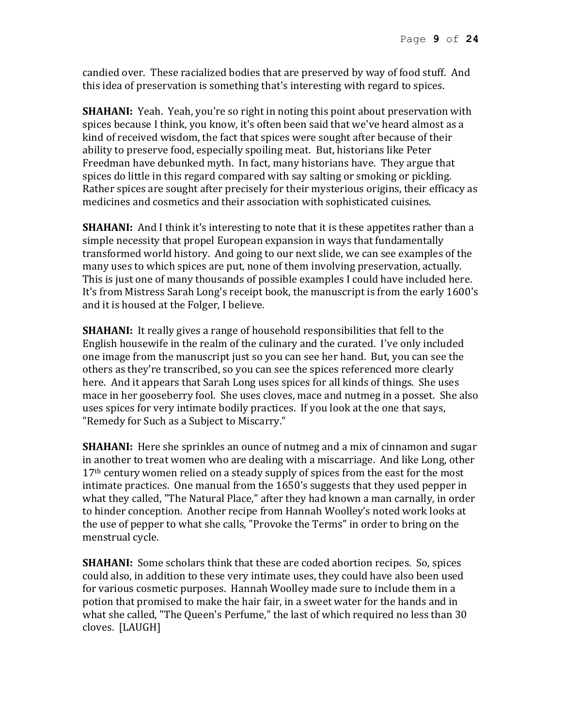candied over. These racialized bodies that are preserved by way of food stuff. And this idea of preservation is something that's interesting with regard to spices.

**SHAHANI:** Yeah. Yeah, you're so right in noting this point about preservation with spices because I think, you know, it's often been said that we've heard almost as a kind of received wisdom, the fact that spices were sought after because of their ability to preserve food, especially spoiling meat. But, historians like Peter Freedman have debunked myth. In fact, many historians have. They argue that spices do little in this regard compared with say salting or smoking or pickling. Rather spices are sought after precisely for their mysterious origins, their efficacy as medicines and cosmetics and their association with sophisticated cuisines.

**SHAHANI:** And I think it's interesting to note that it is these appetites rather than a simple necessity that propel European expansion in ways that fundamentally transformed world history. And going to our next slide, we can see examples of the many uses to which spices are put, none of them involving preservation, actually. This is just one of many thousands of possible examples I could have included here. It's from Mistress Sarah Long's receipt book, the manuscript is from the early 1600's and it is housed at the Folger, I believe.

**SHAHANI:** It really gives a range of household responsibilities that fell to the English housewife in the realm of the culinary and the curated. I've only included one image from the manuscript just so you can see her hand. But, you can see the others as they're transcribed, so you can see the spices referenced more clearly here. And it appears that Sarah Long uses spices for all kinds of things. She uses mace in her gooseberry fool. She uses cloves, mace and nutmeg in a posset. She also uses spices for very intimate bodily practices. If you look at the one that says, "Remedy for Such as a Subject to Miscarry."

**SHAHANI:** Here she sprinkles an ounce of nutmeg and a mix of cinnamon and sugar in another to treat women who are dealing with a miscarriage. And like Long, other  $17<sup>th</sup>$  century women relied on a steady supply of spices from the east for the most intimate practices. One manual from the 1650's suggests that they used pepper in what they called, "The Natural Place," after they had known a man carnally, in order to hinder conception. Another recipe from Hannah Woolley's noted work looks at the use of pepper to what she calls, "Provoke the Terms" in order to bring on the menstrual cycle.

**SHAHANI:** Some scholars think that these are coded abortion recipes. So, spices could also, in addition to these very intimate uses, they could have also been used for various cosmetic purposes. Hannah Woolley made sure to include them in a potion that promised to make the hair fair, in a sweet water for the hands and in what she called, "The Queen's Perfume," the last of which required no less than 30 cloves. [LAUGH]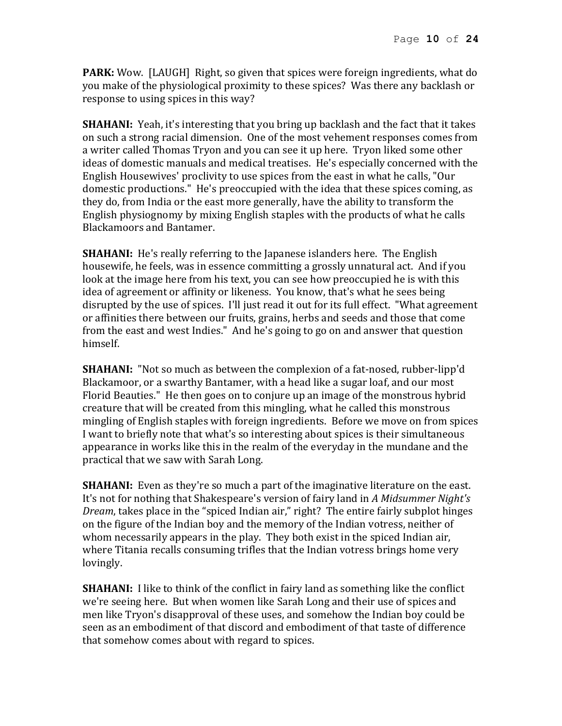**PARK:** Wow. [LAUGH] Right, so given that spices were foreign ingredients, what do you make of the physiological proximity to these spices? Was there any backlash or response to using spices in this way?

**SHAHANI:** Yeah, it's interesting that you bring up backlash and the fact that it takes on such a strong racial dimension. One of the most vehement responses comes from a writer called Thomas Tryon and you can see it up here. Tryon liked some other ideas of domestic manuals and medical treatises. He's especially concerned with the English Housewives' proclivity to use spices from the east in what he calls, "Our domestic productions." He's preoccupied with the idea that these spices coming, as they do, from India or the east more generally, have the ability to transform the English physiognomy by mixing English staples with the products of what he calls Blackamoors and Bantamer.

**SHAHANI:** He's really referring to the Japanese islanders here. The English housewife, he feels, was in essence committing a grossly unnatural act. And if you look at the image here from his text, you can see how preoccupied he is with this idea of agreement or affinity or likeness. You know, that's what he sees being disrupted by the use of spices. I'll just read it out for its full effect. "What agreement or affinities there between our fruits, grains, herbs and seeds and those that come from the east and west Indies." And he's going to go on and answer that question himself.

**SHAHANI:** "Not so much as between the complexion of a fat-nosed, rubber-lipp'd Blackamoor, or a swarthy Bantamer, with a head like a sugar loaf, and our most Florid Beauties." He then goes on to conjure up an image of the monstrous hybrid creature that will be created from this mingling, what he called this monstrous mingling of English staples with foreign ingredients. Before we move on from spices I want to briefly note that what's so interesting about spices is their simultaneous appearance in works like this in the realm of the everyday in the mundane and the practical that we saw with Sarah Long.

**SHAHANI:** Even as they're so much a part of the imaginative literature on the east. It's not for nothing that Shakespeare's version of fairy land in *A Midsummer Night's Dream*, takes place in the "spiced Indian air," right? The entire fairly subplot hinges on the figure of the Indian boy and the memory of the Indian votress, neither of whom necessarily appears in the play. They both exist in the spiced Indian air, where Titania recalls consuming trifles that the Indian votress brings home very lovingly.

**SHAHANI:** I like to think of the conflict in fairy land as something like the conflict we're seeing here. But when women like Sarah Long and their use of spices and men like Tryon's disapproval of these uses, and somehow the Indian boy could be seen as an embodiment of that discord and embodiment of that taste of difference that somehow comes about with regard to spices.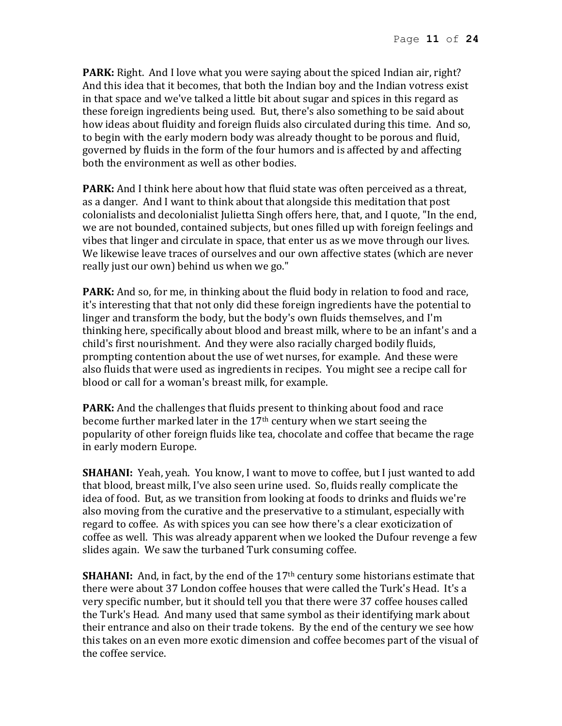**PARK:** Right. And I love what you were saying about the spiced Indian air, right? And this idea that it becomes, that both the Indian boy and the Indian votress exist in that space and we've talked a little bit about sugar and spices in this regard as these foreign ingredients being used. But, there's also something to be said about how ideas about fluidity and foreign fluids also circulated during this time. And so, to begin with the early modern body was already thought to be porous and fluid, governed by fluids in the form of the four humors and is affected by and affecting both the environment as well as other bodies.

**PARK:** And I think here about how that fluid state was often perceived as a threat, as a danger. And I want to think about that alongside this meditation that post colonialists and decolonialist Julietta Singh offers here, that, and I quote, "In the end, we are not bounded, contained subjects, but ones filled up with foreign feelings and vibes that linger and circulate in space, that enter us as we move through our lives. We likewise leave traces of ourselves and our own affective states (which are never really just our own) behind us when we go."

**PARK:** And so, for me, in thinking about the fluid body in relation to food and race, it's interesting that that not only did these foreign ingredients have the potential to linger and transform the body, but the body's own fluids themselves, and I'm thinking here, specifically about blood and breast milk, where to be an infant's and a child's first nourishment. And they were also racially charged bodily fluids, prompting contention about the use of wet nurses, for example. And these were also fluids that were used as ingredients in recipes. You might see a recipe call for blood or call for a woman's breast milk, for example.

**PARK:** And the challenges that fluids present to thinking about food and race become further marked later in the 17th century when we start seeing the popularity of other foreign fluids like tea, chocolate and coffee that became the rage in early modern Europe.

**SHAHANI:** Yeah, yeah. You know, I want to move to coffee, but I just wanted to add that blood, breast milk, I've also seen urine used. So, fluids really complicate the idea of food. But, as we transition from looking at foods to drinks and fluids we're also moving from the curative and the preservative to a stimulant, especially with regard to coffee. As with spices you can see how there's a clear exoticization of coffee as well. This was already apparent when we looked the Dufour revenge a few slides again. We saw the turbaned Turk consuming coffee.

**SHAHANI:** And, in fact, by the end of the 17<sup>th</sup> century some historians estimate that there were about 37 London coffee houses that were called the Turk's Head. It's a very specific number, but it should tell you that there were 37 coffee houses called the Turk's Head. And many used that same symbol as their identifying mark about their entrance and also on their trade tokens. By the end of the century we see how this takes on an even more exotic dimension and coffee becomes part of the visual of the coffee service.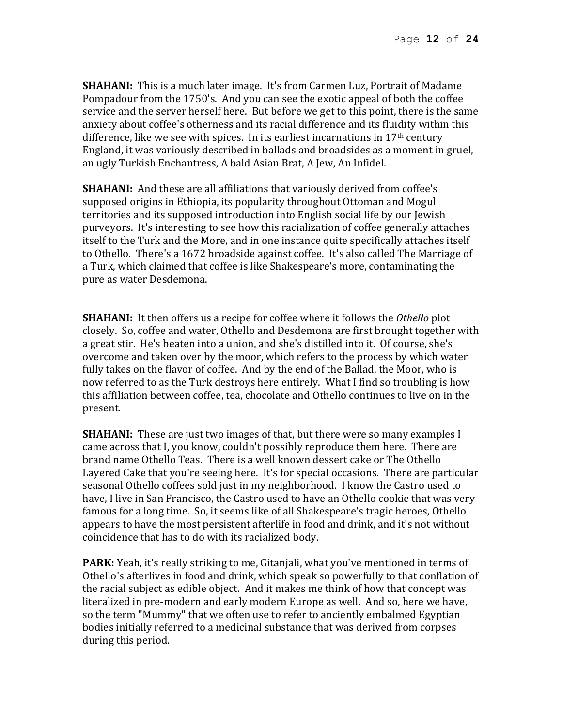**SHAHANI:** This is a much later image. It's from Carmen Luz, Portrait of Madame Pompadour from the 1750's. And you can see the exotic appeal of both the coffee service and the server herself here. But before we get to this point, there is the same anxiety about coffee's otherness and its racial difference and its fluidity within this difference, like we see with spices. In its earliest incarnations in  $17<sup>th</sup>$  century England, it was variously described in ballads and broadsides as a moment in gruel, an ugly Turkish Enchantress, A bald Asian Brat, A Jew, An Infidel.

**SHAHANI:** And these are all affiliations that variously derived from coffee's supposed origins in Ethiopia, its popularity throughout Ottoman and Mogul territories and its supposed introduction into English social life by our Jewish purveyors. It's interesting to see how this racialization of coffee generally attaches itself to the Turk and the More, and in one instance quite specifically attaches itself to Othello. There's a 1672 broadside against coffee. It's also called The Marriage of a Turk, which claimed that coffee is like Shakespeare's more, contaminating the pure as water Desdemona.

**SHAHANI:** It then offers us a recipe for coffee where it follows the *Othello* plot closely. So, coffee and water, Othello and Desdemona are first brought together with a great stir. He's beaten into a union, and she's distilled into it. Of course, she's overcome and taken over by the moor, which refers to the process by which water fully takes on the flavor of coffee. And by the end of the Ballad, the Moor, who is now referred to as the Turk destroys here entirely. What I find so troubling is how this affiliation between coffee, tea, chocolate and Othello continues to live on in the present.

**SHAHANI:** These are just two images of that, but there were so many examples I came across that I, you know, couldn't possibly reproduce them here. There are brand name Othello Teas. There is a well known dessert cake or The Othello Layered Cake that you're seeing here. It's for special occasions. There are particular seasonal Othello coffees sold just in my neighborhood. I know the Castro used to have, I live in San Francisco, the Castro used to have an Othello cookie that was very famous for a long time. So, it seems like of all Shakespeare's tragic heroes, Othello appears to have the most persistent afterlife in food and drink, and it's not without coincidence that has to do with its racialized body.

**PARK:** Yeah, it's really striking to me, Gitanjali, what you've mentioned in terms of Othello's afterlives in food and drink, which speak so powerfully to that conflation of the racial subject as edible object. And it makes me think of how that concept was literalized in pre-modern and early modern Europe as well. And so, here we have, so the term "Mummy" that we often use to refer to anciently embalmed Egyptian bodies initially referred to a medicinal substance that was derived from corpses during this period.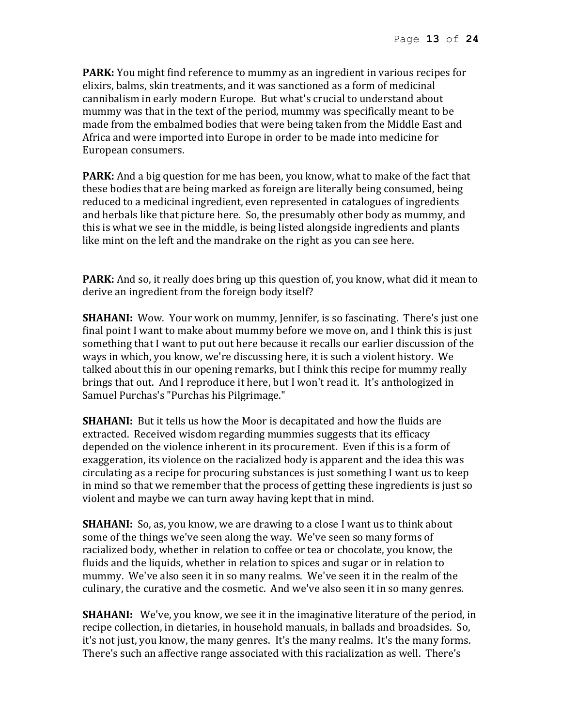**PARK:** You might find reference to mummy as an ingredient in various recipes for elixirs, balms, skin treatments, and it was sanctioned as a form of medicinal cannibalism in early modern Europe. But what's crucial to understand about mummy was that in the text of the period, mummy was specifically meant to be made from the embalmed bodies that were being taken from the Middle East and Africa and were imported into Europe in order to be made into medicine for European consumers.

**PARK:** And a big question for me has been, you know, what to make of the fact that these bodies that are being marked as foreign are literally being consumed, being reduced to a medicinal ingredient, even represented in catalogues of ingredients and herbals like that picture here. So, the presumably other body as mummy, and this is what we see in the middle, is being listed alongside ingredients and plants like mint on the left and the mandrake on the right as you can see here.

**PARK:** And so, it really does bring up this question of, you know, what did it mean to derive an ingredient from the foreign body itself?

**SHAHANI:** Wow. Your work on mummy, Jennifer, is so fascinating. There's just one final point I want to make about mummy before we move on, and I think this is just something that I want to put out here because it recalls our earlier discussion of the ways in which, you know, we're discussing here, it is such a violent history. We talked about this in our opening remarks, but I think this recipe for mummy really brings that out. And I reproduce it here, but I won't read it. It's anthologized in Samuel Purchas's "Purchas his Pilgrimage."

**SHAHANI:** But it tells us how the Moor is decapitated and how the fluids are extracted. Received wisdom regarding mummies suggests that its efficacy depended on the violence inherent in its procurement. Even if this is a form of exaggeration, its violence on the racialized body is apparent and the idea this was circulating as a recipe for procuring substances is just something I want us to keep in mind so that we remember that the process of getting these ingredients is just so violent and maybe we can turn away having kept that in mind.

**SHAHANI:** So, as, you know, we are drawing to a close I want us to think about some of the things we've seen along the way. We've seen so many forms of racialized body, whether in relation to coffee or tea or chocolate, you know, the fluids and the liquids, whether in relation to spices and sugar or in relation to mummy. We've also seen it in so many realms. We've seen it in the realm of the culinary, the curative and the cosmetic. And we've also seen it in so many genres.

**SHAHANI:** We've, you know, we see it in the imaginative literature of the period, in recipe collection, in dietaries, in household manuals, in ballads and broadsides. So, it's not just, you know, the many genres. It's the many realms. It's the many forms. There's such an affective range associated with this racialization as well. There's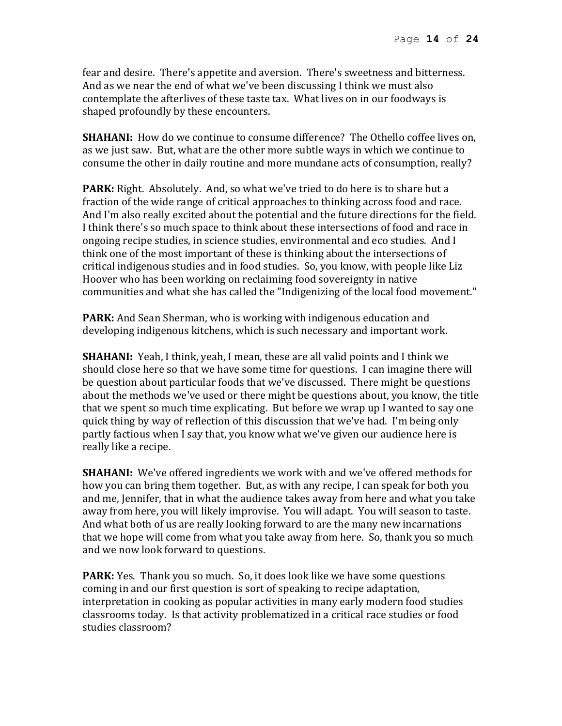fear and desire. There's appetite and aversion. There's sweetness and bitterness. And as we near the end of what we've been discussing I think we must also contemplate the afterlives of these taste tax. What lives on in our foodways is shaped profoundly by these encounters.

**SHAHANI:** How do we continue to consume difference? The Othello coffee lives on, as we just saw. But, what are the other more subtle ways in which we continue to consume the other in daily routine and more mundane acts of consumption, really?

**PARK:** Right. Absolutely. And, so what we've tried to do here is to share but a fraction of the wide range of critical approaches to thinking across food and race. And I'm also really excited about the potential and the future directions for the field. I think there's so much space to think about these intersections of food and race in ongoing recipe studies, in science studies, environmental and eco studies. And I think one of the most important of these is thinking about the intersections of critical indigenous studies and in food studies. So, you know, with people like Liz Hoover who has been working on reclaiming food sovereignty in native communities and what she has called the "Indigenizing of the local food movement."

**PARK:** And Sean Sherman, who is working with indigenous education and developing indigenous kitchens, which is such necessary and important work.

**SHAHANI:** Yeah, I think, yeah, I mean, these are all valid points and I think we should close here so that we have some time for questions. I can imagine there will be question about particular foods that we've discussed. There might be questions about the methods we've used or there might be questions about, you know, the title that we spent so much time explicating. But before we wrap up I wanted to say one quick thing by way of reflection of this discussion that we've had. I'm being only partly factious when I say that, you know what we've given our audience here is really like a recipe.

**SHAHANI:** We've offered ingredients we work with and we've offered methods for how you can bring them together. But, as with any recipe, I can speak for both you and me, Jennifer, that in what the audience takes away from here and what you take away from here, you will likely improvise. You will adapt. You will season to taste. And what both of us are really looking forward to are the many new incarnations that we hope will come from what you take away from here. So, thank you so much and we now look forward to questions.

**PARK:** Yes. Thank you so much. So, it does look like we have some questions coming in and our first question is sort of speaking to recipe adaptation, interpretation in cooking as popular activities in many early modern food studies classrooms today. Is that activity problematized in a critical race studies or food studies classroom?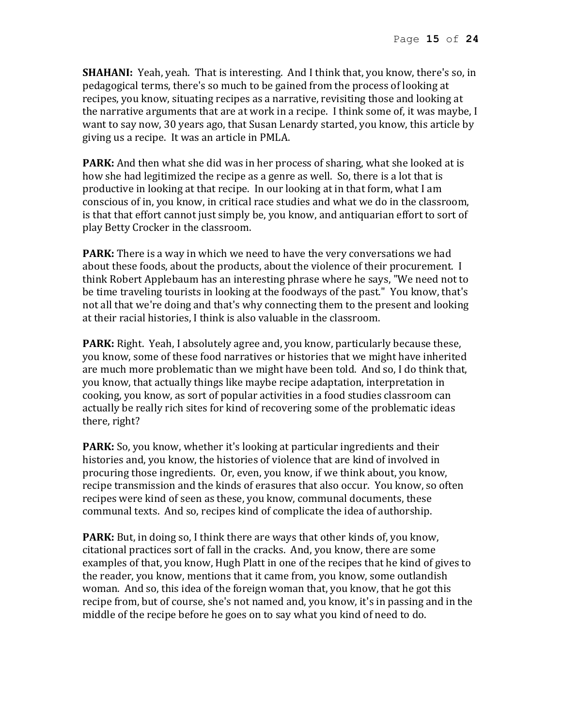**SHAHANI:** Yeah, yeah. That is interesting. And I think that, you know, there's so, in pedagogical terms, there's so much to be gained from the process of looking at recipes, you know, situating recipes as a narrative, revisiting those and looking at the narrative arguments that are at work in a recipe. I think some of, it was maybe, I want to say now, 30 years ago, that Susan Lenardy started, you know, this article by giving us a recipe. It was an article in PMLA.

**PARK:** And then what she did was in her process of sharing, what she looked at is how she had legitimized the recipe as a genre as well. So, there is a lot that is productive in looking at that recipe. In our looking at in that form, what I am conscious of in, you know, in critical race studies and what we do in the classroom, is that that effort cannot just simply be, you know, and antiquarian effort to sort of play Betty Crocker in the classroom.

**PARK:** There is a way in which we need to have the very conversations we had about these foods, about the products, about the violence of their procurement. I think Robert Applebaum has an interesting phrase where he says, "We need not to be time traveling tourists in looking at the foodways of the past." You know, that's not all that we're doing and that's why connecting them to the present and looking at their racial histories, I think is also valuable in the classroom.

**PARK:** Right. Yeah, I absolutely agree and, you know, particularly because these, you know, some of these food narratives or histories that we might have inherited are much more problematic than we might have been told. And so, I do think that, you know, that actually things like maybe recipe adaptation, interpretation in cooking, you know, as sort of popular activities in a food studies classroom can actually be really rich sites for kind of recovering some of the problematic ideas there, right?

**PARK:** So, you know, whether it's looking at particular ingredients and their histories and, you know, the histories of violence that are kind of involved in procuring those ingredients. Or, even, you know, if we think about, you know, recipe transmission and the kinds of erasures that also occur. You know, so often recipes were kind of seen as these, you know, communal documents, these communal texts. And so, recipes kind of complicate the idea of authorship.

**PARK:** But, in doing so, I think there are ways that other kinds of, you know, citational practices sort of fall in the cracks. And, you know, there are some examples of that, you know, Hugh Platt in one of the recipes that he kind of gives to the reader, you know, mentions that it came from, you know, some outlandish woman. And so, this idea of the foreign woman that, you know, that he got this recipe from, but of course, she's not named and, you know, it's in passing and in the middle of the recipe before he goes on to say what you kind of need to do.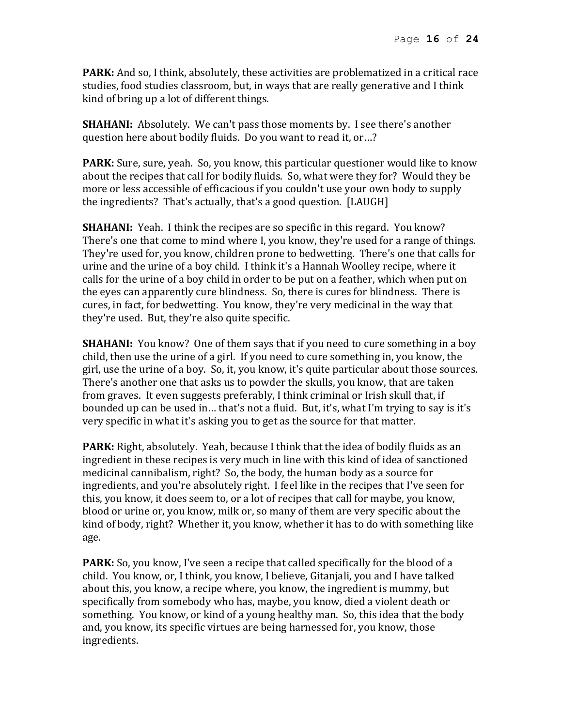**PARK:** And so, I think, absolutely, these activities are problematized in a critical race studies, food studies classroom, but, in ways that are really generative and I think kind of bring up a lot of different things.

**SHAHANI:** Absolutely. We can't pass those moments by. I see there's another question here about bodily fluids. Do you want to read it, or…?

**PARK:** Sure, sure, yeah. So, you know, this particular questioner would like to know about the recipes that call for bodily fluids. So, what were they for? Would they be more or less accessible of efficacious if you couldn't use your own body to supply the ingredients? That's actually, that's a good question. [LAUGH]

**SHAHANI:** Yeah. I think the recipes are so specific in this regard. You know? There's one that come to mind where I, you know, they're used for a range of things. They're used for, you know, children prone to bedwetting. There's one that calls for urine and the urine of a boy child. I think it's a Hannah Woolley recipe, where it calls for the urine of a boy child in order to be put on a feather, which when put on the eyes can apparently cure blindness. So, there is cures for blindness. There is cures, in fact, for bedwetting. You know, they're very medicinal in the way that they're used. But, they're also quite specific.

**SHAHANI:** You know? One of them says that if you need to cure something in a boy child, then use the urine of a girl. If you need to cure something in, you know, the girl, use the urine of a boy. So, it, you know, it's quite particular about those sources. There's another one that asks us to powder the skulls, you know, that are taken from graves. It even suggests preferably, I think criminal or Irish skull that, if bounded up can be used in… that's not a fluid. But, it's, what I'm trying to say is it's very specific in what it's asking you to get as the source for that matter.

**PARK:** Right, absolutely. Yeah, because I think that the idea of bodily fluids as an ingredient in these recipes is very much in line with this kind of idea of sanctioned medicinal cannibalism, right? So, the body, the human body as a source for ingredients, and you're absolutely right. I feel like in the recipes that I've seen for this, you know, it does seem to, or a lot of recipes that call for maybe, you know, blood or urine or, you know, milk or, so many of them are very specific about the kind of body, right? Whether it, you know, whether it has to do with something like age.

**PARK:** So, you know, I've seen a recipe that called specifically for the blood of a child. You know, or, I think, you know, I believe, Gitanjali, you and I have talked about this, you know, a recipe where, you know, the ingredient is mummy, but specifically from somebody who has, maybe, you know, died a violent death or something. You know, or kind of a young healthy man. So, this idea that the body and, you know, its specific virtues are being harnessed for, you know, those ingredients.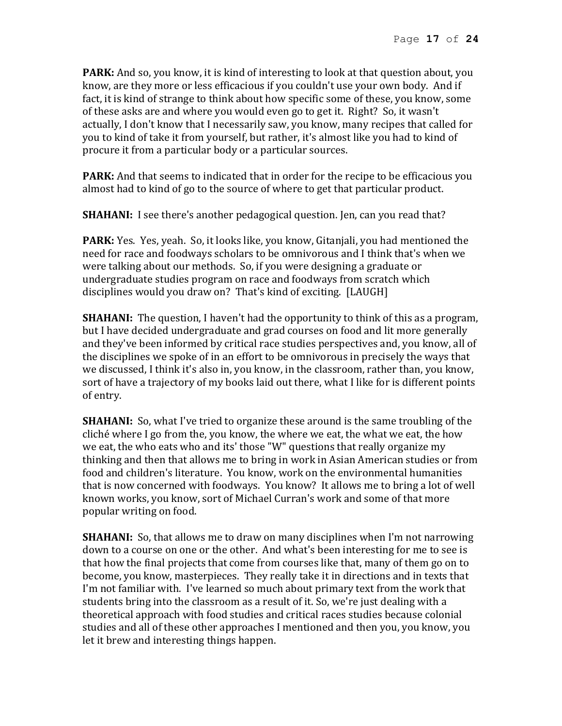**PARK:** And so, you know, it is kind of interesting to look at that question about, you know, are they more or less efficacious if you couldn't use your own body. And if fact, it is kind of strange to think about how specific some of these, you know, some of these asks are and where you would even go to get it. Right? So, it wasn't actually, I don't know that I necessarily saw, you know, many recipes that called for you to kind of take it from yourself, but rather, it's almost like you had to kind of procure it from a particular body or a particular sources.

**PARK:** And that seems to indicated that in order for the recipe to be efficacious you almost had to kind of go to the source of where to get that particular product.

**SHAHANI:** I see there's another pedagogical question. Jen, can you read that?

**PARK:** Yes. Yes, yeah. So, it looks like, you know, Gitanjali, you had mentioned the need for race and foodways scholars to be omnivorous and I think that's when we were talking about our methods. So, if you were designing a graduate or undergraduate studies program on race and foodways from scratch which disciplines would you draw on? That's kind of exciting. [LAUGH]

**SHAHANI:** The question, I haven't had the opportunity to think of this as a program, but I have decided undergraduate and grad courses on food and lit more generally and they've been informed by critical race studies perspectives and, you know, all of the disciplines we spoke of in an effort to be omnivorous in precisely the ways that we discussed, I think it's also in, you know, in the classroom, rather than, you know, sort of have a trajectory of my books laid out there, what I like for is different points of entry.

**SHAHANI:** So, what I've tried to organize these around is the same troubling of the cliché where I go from the, you know, the where we eat, the what we eat, the how we eat, the who eats who and its' those "W" questions that really organize my thinking and then that allows me to bring in work in Asian American studies or from food and children's literature. You know, work on the environmental humanities that is now concerned with foodways. You know? It allows me to bring a lot of well known works, you know, sort of Michael Curran's work and some of that more popular writing on food.

**SHAHANI:** So, that allows me to draw on many disciplines when I'm not narrowing down to a course on one or the other. And what's been interesting for me to see is that how the final projects that come from courses like that, many of them go on to become, you know, masterpieces. They really take it in directions and in texts that I'm not familiar with. I've learned so much about primary text from the work that students bring into the classroom as a result of it. So, we're just dealing with a theoretical approach with food studies and critical races studies because colonial studies and all of these other approaches I mentioned and then you, you know, you let it brew and interesting things happen.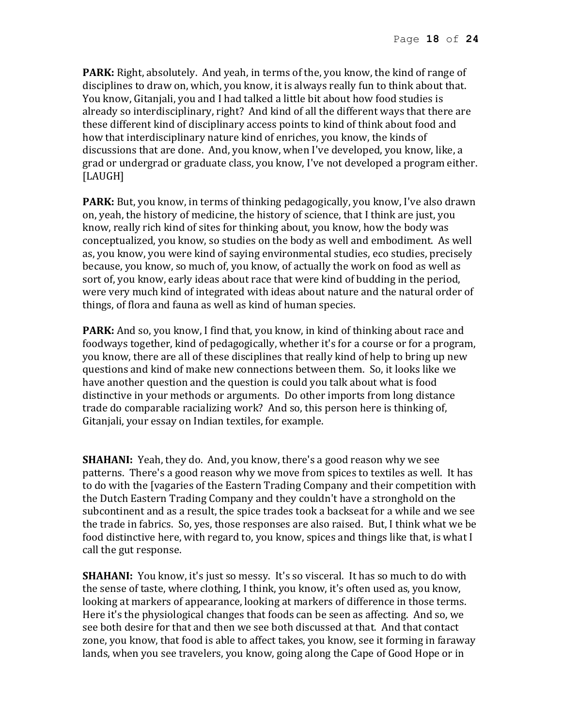**PARK:** Right, absolutely. And yeah, in terms of the, you know, the kind of range of disciplines to draw on, which, you know, it is always really fun to think about that. You know, Gitanjali, you and I had talked a little bit about how food studies is already so interdisciplinary, right? And kind of all the different ways that there are these different kind of disciplinary access points to kind of think about food and how that interdisciplinary nature kind of enriches, you know, the kinds of discussions that are done. And, you know, when I've developed, you know, like, a grad or undergrad or graduate class, you know, I've not developed a program either. [LAUGH]

**PARK:** But, you know, in terms of thinking pedagogically, you know, I've also drawn on, yeah, the history of medicine, the history of science, that I think are just, you know, really rich kind of sites for thinking about, you know, how the body was conceptualized, you know, so studies on the body as well and embodiment. As well as, you know, you were kind of saying environmental studies, eco studies, precisely because, you know, so much of, you know, of actually the work on food as well as sort of, you know, early ideas about race that were kind of budding in the period, were very much kind of integrated with ideas about nature and the natural order of things, of flora and fauna as well as kind of human species.

**PARK:** And so, you know, I find that, you know, in kind of thinking about race and foodways together, kind of pedagogically, whether it's for a course or for a program, you know, there are all of these disciplines that really kind of help to bring up new questions and kind of make new connections between them. So, it looks like we have another question and the question is could you talk about what is food distinctive in your methods or arguments. Do other imports from long distance trade do comparable racializing work? And so, this person here is thinking of, Gitanjali, your essay on Indian textiles, for example.

**SHAHANI:** Yeah, they do. And, you know, there's a good reason why we see patterns. There's a good reason why we move from spices to textiles as well. It has to do with the [vagaries of the Eastern Trading Company and their competition with the Dutch Eastern Trading Company and they couldn't have a stronghold on the subcontinent and as a result, the spice trades took a backseat for a while and we see the trade in fabrics. So, yes, those responses are also raised. But, I think what we be food distinctive here, with regard to, you know, spices and things like that, is what I call the gut response.

**SHAHANI:** You know, it's just so messy. It's so visceral. It has so much to do with the sense of taste, where clothing, I think, you know, it's often used as, you know, looking at markers of appearance, looking at markers of difference in those terms. Here it's the physiological changes that foods can be seen as affecting. And so, we see both desire for that and then we see both discussed at that. And that contact zone, you know, that food is able to affect takes, you know, see it forming in faraway lands, when you see travelers, you know, going along the Cape of Good Hope or in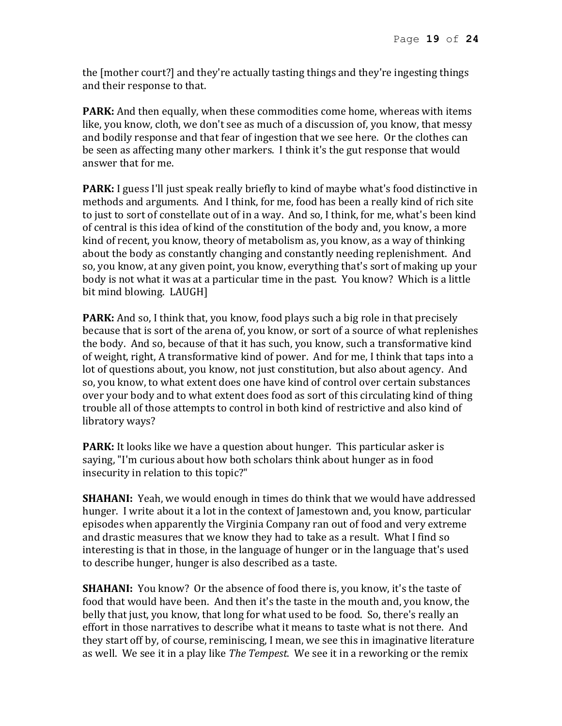the [mother court?] and they're actually tasting things and they're ingesting things and their response to that.

**PARK:** And then equally, when these commodities come home, whereas with items like, you know, cloth, we don't see as much of a discussion of, you know, that messy and bodily response and that fear of ingestion that we see here. Or the clothes can be seen as affecting many other markers. I think it's the gut response that would answer that for me.

**PARK:** I guess I'll just speak really briefly to kind of maybe what's food distinctive in methods and arguments. And I think, for me, food has been a really kind of rich site to just to sort of constellate out of in a way. And so, I think, for me, what's been kind of central is this idea of kind of the constitution of the body and, you know, a more kind of recent, you know, theory of metabolism as, you know, as a way of thinking about the body as constantly changing and constantly needing replenishment. And so, you know, at any given point, you know, everything that's sort of making up your body is not what it was at a particular time in the past. You know? Which is a little bit mind blowing. LAUGH]

**PARK:** And so, I think that, you know, food plays such a big role in that precisely because that is sort of the arena of, you know, or sort of a source of what replenishes the body. And so, because of that it has such, you know, such a transformative kind of weight, right, A transformative kind of power. And for me, I think that taps into a lot of questions about, you know, not just constitution, but also about agency. And so, you know, to what extent does one have kind of control over certain substances over your body and to what extent does food as sort of this circulating kind of thing trouble all of those attempts to control in both kind of restrictive and also kind of libratory ways?

**PARK:** It looks like we have a question about hunger. This particular asker is saying, "I'm curious about how both scholars think about hunger as in food insecurity in relation to this topic?"

**SHAHANI:** Yeah, we would enough in times do think that we would have addressed hunger. I write about it a lot in the context of Jamestown and, you know, particular episodes when apparently the Virginia Company ran out of food and very extreme and drastic measures that we know they had to take as a result. What I find so interesting is that in those, in the language of hunger or in the language that's used to describe hunger, hunger is also described as a taste.

**SHAHANI:** You know? Or the absence of food there is, you know, it's the taste of food that would have been. And then it's the taste in the mouth and, you know, the belly that just, you know, that long for what used to be food. So, there's really an effort in those narratives to describe what it means to taste what is not there. And they start off by, of course, reminiscing, I mean, we see this in imaginative literature as well. We see it in a play like *The Tempest*. We see it in a reworking or the remix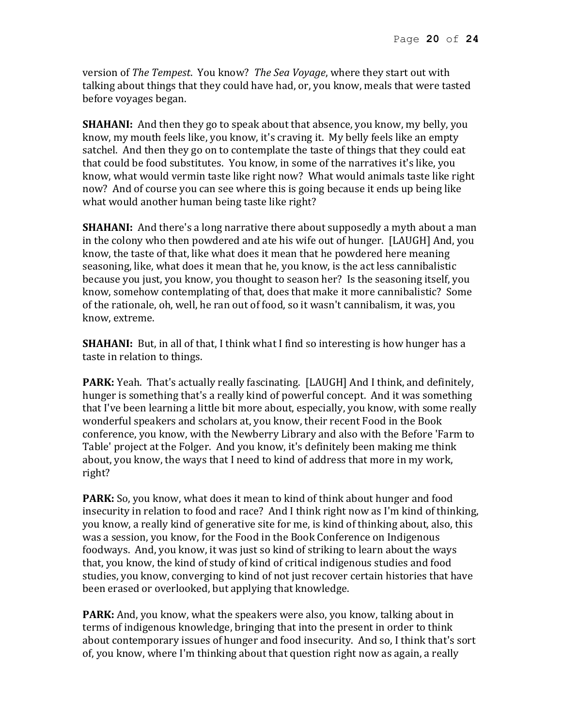version of *The Tempest*. You know? *The Sea Voyage*, where they start out with talking about things that they could have had, or, you know, meals that were tasted before voyages began.

**SHAHANI:** And then they go to speak about that absence, you know, my belly, you know, my mouth feels like, you know, it's craving it. My belly feels like an empty satchel. And then they go on to contemplate the taste of things that they could eat that could be food substitutes. You know, in some of the narratives it's like, you know, what would vermin taste like right now? What would animals taste like right now? And of course you can see where this is going because it ends up being like what would another human being taste like right?

**SHAHANI:** And there's a long narrative there about supposedly a myth about a man in the colony who then powdered and ate his wife out of hunger. [LAUGH] And, you know, the taste of that, like what does it mean that he powdered here meaning seasoning, like, what does it mean that he, you know, is the act less cannibalistic because you just, you know, you thought to season her? Is the seasoning itself, you know, somehow contemplating of that, does that make it more cannibalistic? Some of the rationale, oh, well, he ran out of food, so it wasn't cannibalism, it was, you know, extreme.

**SHAHANI:** But, in all of that, I think what I find so interesting is how hunger has a taste in relation to things.

**PARK:** Yeah. That's actually really fascinating. [LAUGH] And I think, and definitely, hunger is something that's a really kind of powerful concept. And it was something that I've been learning a little bit more about, especially, you know, with some really wonderful speakers and scholars at, you know, their recent Food in the Book conference, you know, with the Newberry Library and also with the Before 'Farm to Table' project at the Folger. And you know, it's definitely been making me think about, you know, the ways that I need to kind of address that more in my work, right?

**PARK:** So, you know, what does it mean to kind of think about hunger and food insecurity in relation to food and race? And I think right now as I'm kind of thinking, you know, a really kind of generative site for me, is kind of thinking about, also, this was a session, you know, for the Food in the Book Conference on Indigenous foodways. And, you know, it was just so kind of striking to learn about the ways that, you know, the kind of study of kind of critical indigenous studies and food studies, you know, converging to kind of not just recover certain histories that have been erased or overlooked, but applying that knowledge.

**PARK:** And, you know, what the speakers were also, you know, talking about in terms of indigenous knowledge, bringing that into the present in order to think about contemporary issues of hunger and food insecurity. And so, I think that's sort of, you know, where I'm thinking about that question right now as again, a really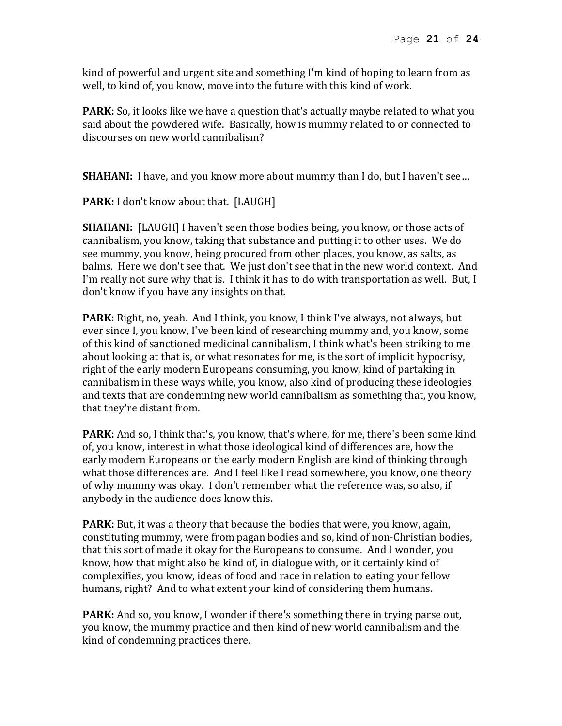kind of powerful and urgent site and something I'm kind of hoping to learn from as well, to kind of, you know, move into the future with this kind of work.

**PARK:** So, it looks like we have a question that's actually maybe related to what you said about the powdered wife. Basically, how is mummy related to or connected to discourses on new world cannibalism?

**SHAHANI:** I have, and you know more about mummy than I do, but I haven't see...

PARK: I don't know about that. [LAUGH]

**SHAHANI:** [LAUGH] I haven't seen those bodies being, you know, or those acts of cannibalism, you know, taking that substance and putting it to other uses. We do see mummy, you know, being procured from other places, you know, as salts, as balms. Here we don't see that. We just don't see that in the new world context. And I'm really not sure why that is. I think it has to do with transportation as well. But, I don't know if you have any insights on that.

**PARK:** Right, no, yeah. And I think, you know, I think I've always, not always, but ever since I, you know, I've been kind of researching mummy and, you know, some of this kind of sanctioned medicinal cannibalism, I think what's been striking to me about looking at that is, or what resonates for me, is the sort of implicit hypocrisy, right of the early modern Europeans consuming, you know, kind of partaking in cannibalism in these ways while, you know, also kind of producing these ideologies and texts that are condemning new world cannibalism as something that, you know, that they're distant from.

**PARK:** And so, I think that's, you know, that's where, for me, there's been some kind of, you know, interest in what those ideological kind of differences are, how the early modern Europeans or the early modern English are kind of thinking through what those differences are. And I feel like I read somewhere, you know, one theory of why mummy was okay. I don't remember what the reference was, so also, if anybody in the audience does know this.

**PARK:** But, it was a theory that because the bodies that were, you know, again, constituting mummy, were from pagan bodies and so, kind of non-Christian bodies, that this sort of made it okay for the Europeans to consume. And I wonder, you know, how that might also be kind of, in dialogue with, or it certainly kind of complexifies, you know, ideas of food and race in relation to eating your fellow humans, right? And to what extent your kind of considering them humans.

**PARK:** And so, you know, I wonder if there's something there in trying parse out, you know, the mummy practice and then kind of new world cannibalism and the kind of condemning practices there.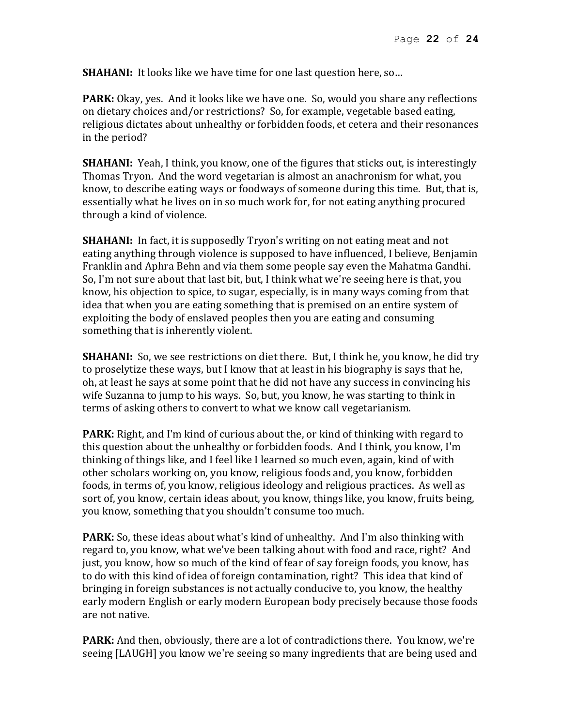**SHAHANI:** It looks like we have time for one last question here, so...

**PARK:** Okay, yes. And it looks like we have one. So, would you share any reflections on dietary choices and/or restrictions? So, for example, vegetable based eating, religious dictates about unhealthy or forbidden foods, et cetera and their resonances in the period?

**SHAHANI:** Yeah, I think, you know, one of the figures that sticks out, is interestingly Thomas Tryon. And the word vegetarian is almost an anachronism for what, you know, to describe eating ways or foodways of someone during this time. But, that is, essentially what he lives on in so much work for, for not eating anything procured through a kind of violence.

**SHAHANI:** In fact, it is supposedly Tryon's writing on not eating meat and not eating anything through violence is supposed to have influenced, I believe, Benjamin Franklin and Aphra Behn and via them some people say even the Mahatma Gandhi. So, I'm not sure about that last bit, but, I think what we're seeing here is that, you know, his objection to spice, to sugar, especially, is in many ways coming from that idea that when you are eating something that is premised on an entire system of exploiting the body of enslaved peoples then you are eating and consuming something that is inherently violent.

**SHAHANI:** So, we see restrictions on diet there. But, I think he, you know, he did try to proselytize these ways, but I know that at least in his biography is says that he, oh, at least he says at some point that he did not have any success in convincing his wife Suzanna to jump to his ways. So, but, you know, he was starting to think in terms of asking others to convert to what we know call vegetarianism.

**PARK:** Right, and I'm kind of curious about the, or kind of thinking with regard to this question about the unhealthy or forbidden foods. And I think, you know, I'm thinking of things like, and I feel like I learned so much even, again, kind of with other scholars working on, you know, religious foods and, you know, forbidden foods, in terms of, you know, religious ideology and religious practices. As well as sort of, you know, certain ideas about, you know, things like, you know, fruits being, you know, something that you shouldn't consume too much.

**PARK:** So, these ideas about what's kind of unhealthy. And I'm also thinking with regard to, you know, what we've been talking about with food and race, right? And just, you know, how so much of the kind of fear of say foreign foods, you know, has to do with this kind of idea of foreign contamination, right? This idea that kind of bringing in foreign substances is not actually conducive to, you know, the healthy early modern English or early modern European body precisely because those foods are not native.

**PARK:** And then, obviously, there are a lot of contradictions there. You know, we're seeing [LAUGH] you know we're seeing so many ingredients that are being used and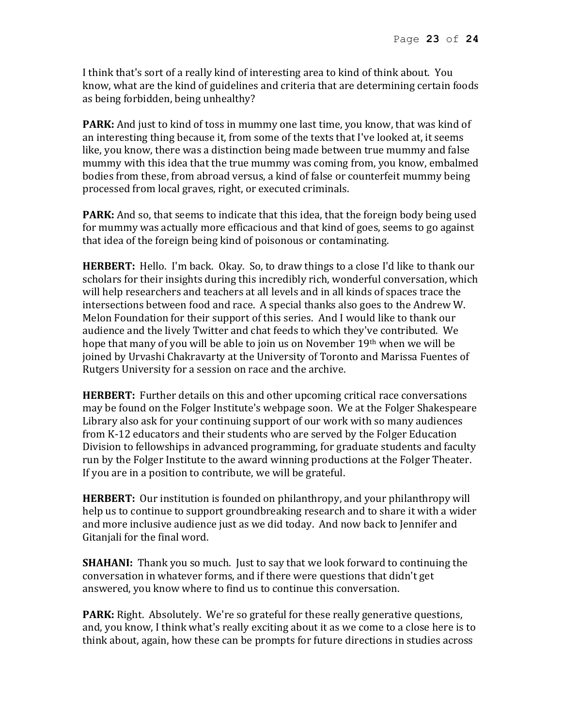I think that's sort of a really kind of interesting area to kind of think about. You know, what are the kind of guidelines and criteria that are determining certain foods as being forbidden, being unhealthy?

**PARK:** And just to kind of toss in mummy one last time, you know, that was kind of an interesting thing because it, from some of the texts that I've looked at, it seems like, you know, there was a distinction being made between true mummy and false mummy with this idea that the true mummy was coming from, you know, embalmed bodies from these, from abroad versus, a kind of false or counterfeit mummy being processed from local graves, right, or executed criminals.

**PARK:** And so, that seems to indicate that this idea, that the foreign body being used for mummy was actually more efficacious and that kind of goes, seems to go against that idea of the foreign being kind of poisonous or contaminating.

**HERBERT:** Hello. I'm back. Okay. So, to draw things to a close I'd like to thank our scholars for their insights during this incredibly rich, wonderful conversation, which will help researchers and teachers at all levels and in all kinds of spaces trace the intersections between food and race. A special thanks also goes to the Andrew W. Melon Foundation for their support of this series. And I would like to thank our audience and the lively Twitter and chat feeds to which they've contributed. We hope that many of you will be able to join us on November 19th when we will be joined by Urvashi Chakravarty at the University of Toronto and Marissa Fuentes of Rutgers University for a session on race and the archive.

**HERBERT:** Further details on this and other upcoming critical race conversations may be found on the Folger Institute's webpage soon. We at the Folger Shakespeare Library also ask for your continuing support of our work with so many audiences from K-12 educators and their students who are served by the Folger Education Division to fellowships in advanced programming, for graduate students and faculty run by the Folger Institute to the award winning productions at the Folger Theater. If you are in a position to contribute, we will be grateful.

**HERBERT:** Our institution is founded on philanthropy, and your philanthropy will help us to continue to support groundbreaking research and to share it with a wider and more inclusive audience just as we did today. And now back to Jennifer and Gitanjali for the final word.

**SHAHANI:** Thank you so much. Just to say that we look forward to continuing the conversation in whatever forms, and if there were questions that didn't get answered, you know where to find us to continue this conversation.

**PARK:** Right. Absolutely. We're so grateful for these really generative questions, and, you know, I think what's really exciting about it as we come to a close here is to think about, again, how these can be prompts for future directions in studies across